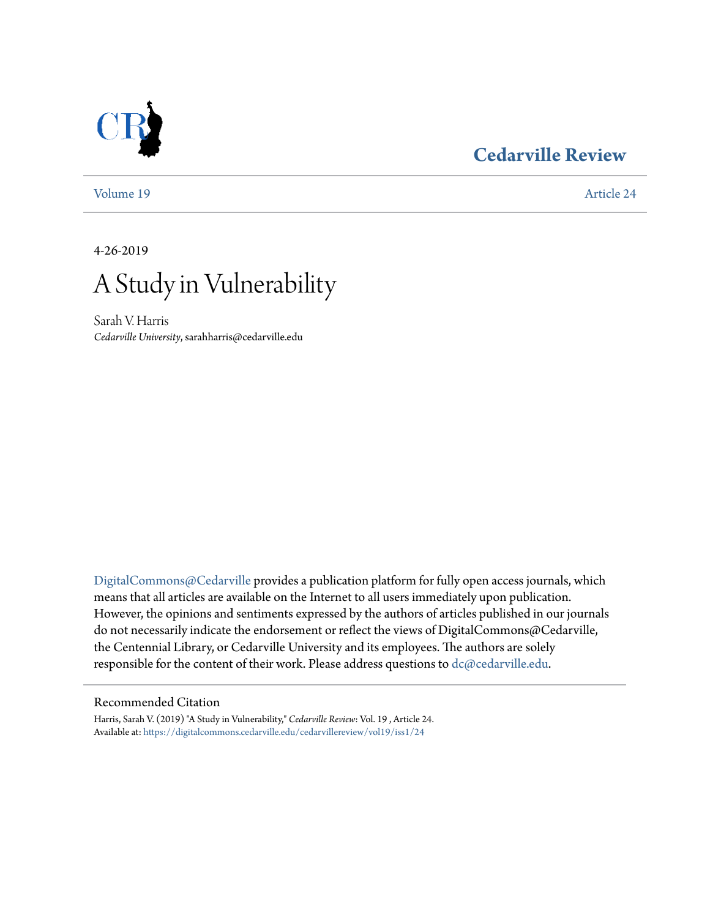## **[Cedarville Review](https://digitalcommons.cedarville.edu/cedarvillereview?utm_source=digitalcommons.cedarville.edu%2Fcedarvillereview%2Fvol19%2Fiss1%2F24&utm_medium=PDF&utm_campaign=PDFCoverPages)**



[Volume 19](https://digitalcommons.cedarville.edu/cedarvillereview/vol19?utm_source=digitalcommons.cedarville.edu%2Fcedarvillereview%2Fvol19%2Fiss1%2F24&utm_medium=PDF&utm_campaign=PDFCoverPages) [Article 24](https://digitalcommons.cedarville.edu/cedarvillereview/vol19/iss1/24?utm_source=digitalcommons.cedarville.edu%2Fcedarvillereview%2Fvol19%2Fiss1%2F24&utm_medium=PDF&utm_campaign=PDFCoverPages)

4-26-2019



Sarah V. Harris *Cedarville University*, sarahharris@cedarville.edu

[DigitalCommons@Cedarville](http://digitalcommons.cedarville.edu/) provides a publication platform for fully open access journals, which means that all articles are available on the Internet to all users immediately upon publication. However, the opinions and sentiments expressed by the authors of articles published in our journals do not necessarily indicate the endorsement or reflect the views of DigitalCommons@Cedarville, the Centennial Library, or Cedarville University and its employees. The authors are solely responsible for the content of their work. Please address questions to [dc@cedarville.edu](mailto:dc@cedarville.edu).

#### Recommended Citation

Harris, Sarah V. (2019) "A Study in Vulnerability," *Cedarville Review*: Vol. 19 , Article 24. Available at: [https://digitalcommons.cedarville.edu/cedarvillereview/vol19/iss1/24](https://digitalcommons.cedarville.edu/cedarvillereview/vol19/iss1/24?utm_source=digitalcommons.cedarville.edu%2Fcedarvillereview%2Fvol19%2Fiss1%2F24&utm_medium=PDF&utm_campaign=PDFCoverPages)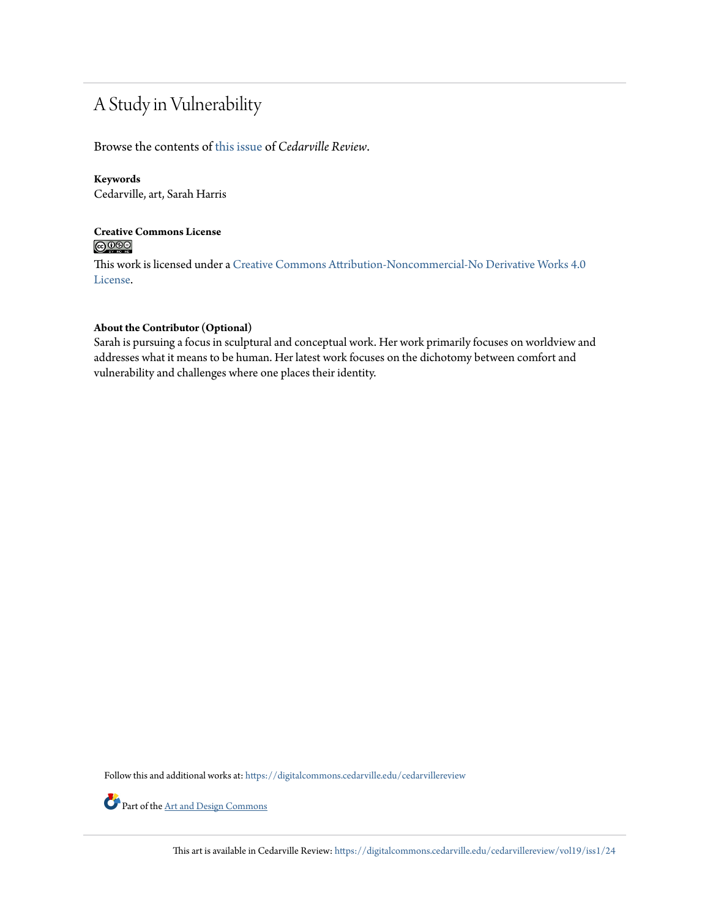# A Study in Vulnerability

Browse the contents of [this issue](https://digitalcommons.cedarville.edu/cedarvillereview/vol19/iss1) of *Cedarville Review*.

#### **Keywords**

Cedarville, art, Sarah Harris

### **Creative Commons License**  $\bigcirc$   $\circ$

This work is licensed under a [Creative Commons Attribution-Noncommercial-No Derivative Works 4.0](http://creativecommons.org/licenses/by-nc-nd/4.0/) [License.](http://creativecommons.org/licenses/by-nc-nd/4.0/)

#### **About the Contributor (Optional)**

Sarah is pursuing a focus in sculptural and conceptual work. Her work primarily focuses on worldview and addresses what it means to be human. Her latest work focuses on the dichotomy between comfort and vulnerability and challenges where one places their identity.

Follow this and additional works at: [https://digitalcommons.cedarville.edu/cedarvillereview](https://digitalcommons.cedarville.edu/cedarvillereview?utm_source=digitalcommons.cedarville.edu%2Fcedarvillereview%2Fvol19%2Fiss1%2F24&utm_medium=PDF&utm_campaign=PDFCoverPages)



Part of the <u>[Art and Design Commons](http://network.bepress.com/hgg/discipline/1049?utm_source=digitalcommons.cedarville.edu%2Fcedarvillereview%2Fvol19%2Fiss1%2F24&utm_medium=PDF&utm_campaign=PDFCoverPages)</u>